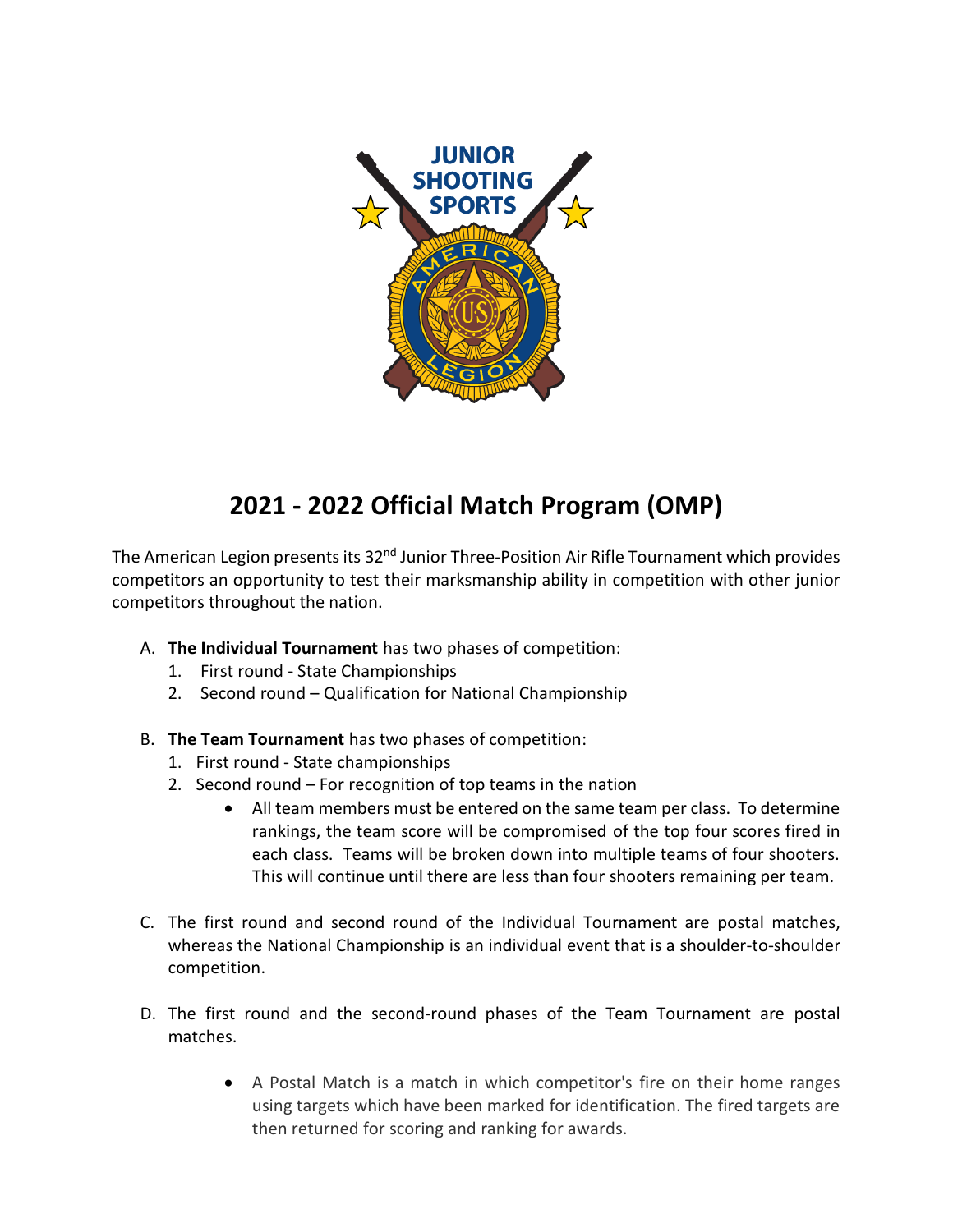

# **2021 - 2022 Official Match Program (OMP)**

The American Legion presents its 32<sup>nd</sup> Junior Three-Position Air Rifle Tournament which provides competitors an opportunity to test their marksmanship ability in competition with other junior competitors throughout the nation.

- A. **The Individual Tournament** has two phases of competition:
	- 1. First round State Championships
	- 2. Second round Qualification for National Championship
- B. **The Team Tournament** has two phases of competition:
	- 1. First round State championships
	- 2. Second round For recognition of top teams in the nation
		- All team members must be entered on the same team per class. To determine rankings, the team score will be compromised of the top four scores fired in each class. Teams will be broken down into multiple teams of four shooters. This will continue until there are less than four shooters remaining per team.
- C. The first round and second round of the Individual Tournament are postal matches, whereas the National Championship is an individual event that is a shoulder-to-shoulder competition.
- D. The first round and the second-round phases of the Team Tournament are postal matches.
	- A Postal Match is a match in which competitor's fire on their home ranges using targets which have been marked for identification. The fired targets are then returned for scoring and ranking for awards.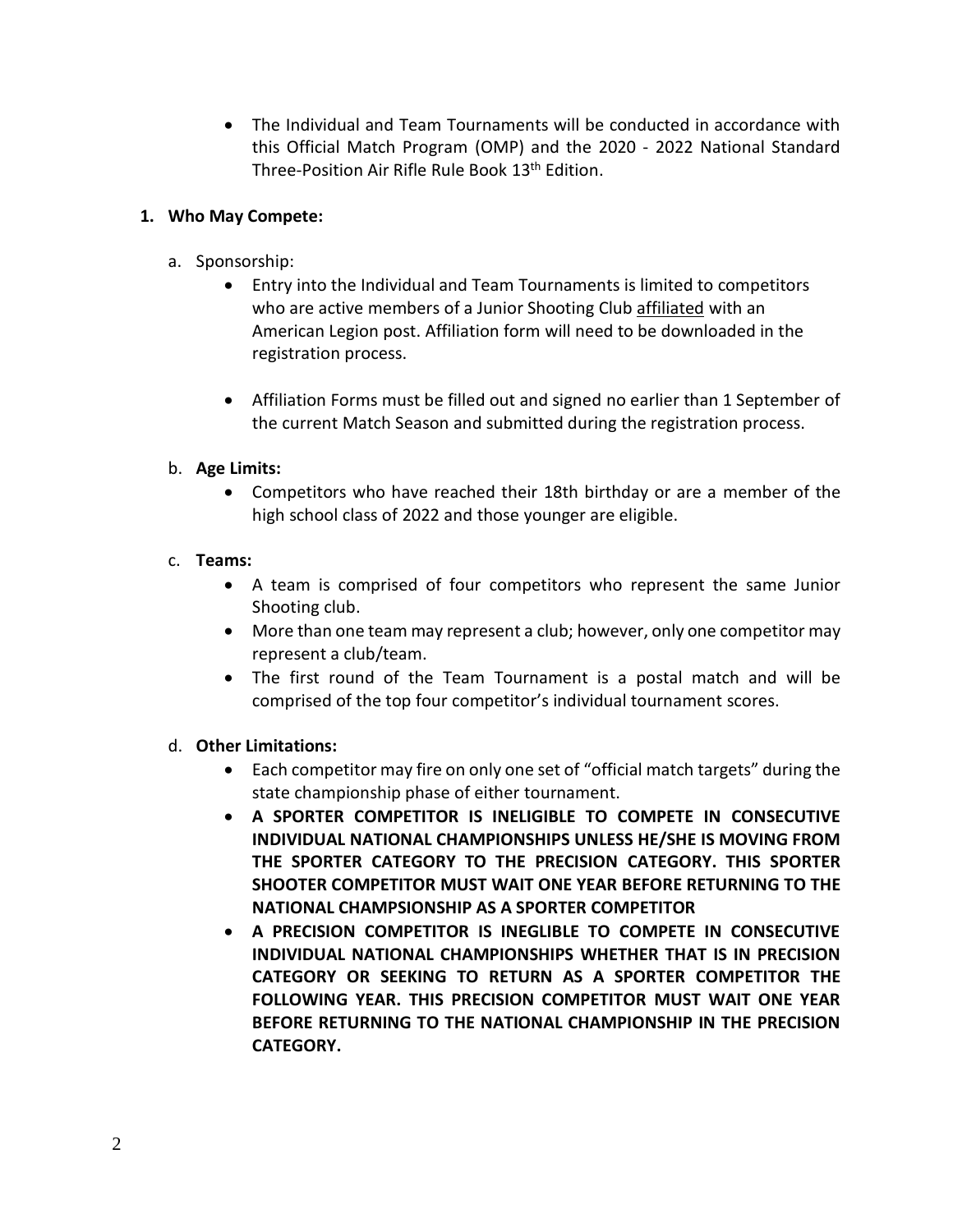The Individual and Team Tournaments will be conducted in accordance with this Official Match Program (OMP) and the 2020 - 2022 National Standard Three-Position Air Rifle Rule Book 13<sup>th</sup> Edition.

#### **1. Who May Compete:**

- a. Sponsorship:
	- Entry into the Individual and Team Tournaments is limited to competitors who are active members of a Junior Shooting Club affiliated with an American Legion post. Affiliation form will need to be downloaded in the registration process.
	- Affiliation Forms must be filled out and signed no earlier than 1 September of the current Match Season and submitted during the registration process.

# b. **Age Limits:**

 Competitors who have reached their 18th birthday or are a member of the high school class of 2022 and those younger are eligible.

# c. **Teams:**

- A team is comprised of four competitors who represent the same Junior Shooting club.
- More than one team may represent a club; however, only one competitor may represent a club/team.
- The first round of the Team Tournament is a postal match and will be comprised of the top four competitor's individual tournament scores.

#### d. **Other Limitations:**

- Each competitor may fire on only one set of "official match targets" during the state championship phase of either tournament.
- **A SPORTER COMPETITOR IS INELIGIBLE TO COMPETE IN CONSECUTIVE INDIVIDUAL NATIONAL CHAMPIONSHIPS UNLESS HE/SHE IS MOVING FROM THE SPORTER CATEGORY TO THE PRECISION CATEGORY. THIS SPORTER SHOOTER COMPETITOR MUST WAIT ONE YEAR BEFORE RETURNING TO THE NATIONAL CHAMPSIONSHIP AS A SPORTER COMPETITOR**
- **A PRECISION COMPETITOR IS INEGLIBLE TO COMPETE IN CONSECUTIVE INDIVIDUAL NATIONAL CHAMPIONSHIPS WHETHER THAT IS IN PRECISION CATEGORY OR SEEKING TO RETURN AS A SPORTER COMPETITOR THE FOLLOWING YEAR. THIS PRECISION COMPETITOR MUST WAIT ONE YEAR BEFORE RETURNING TO THE NATIONAL CHAMPIONSHIP IN THE PRECISION CATEGORY.**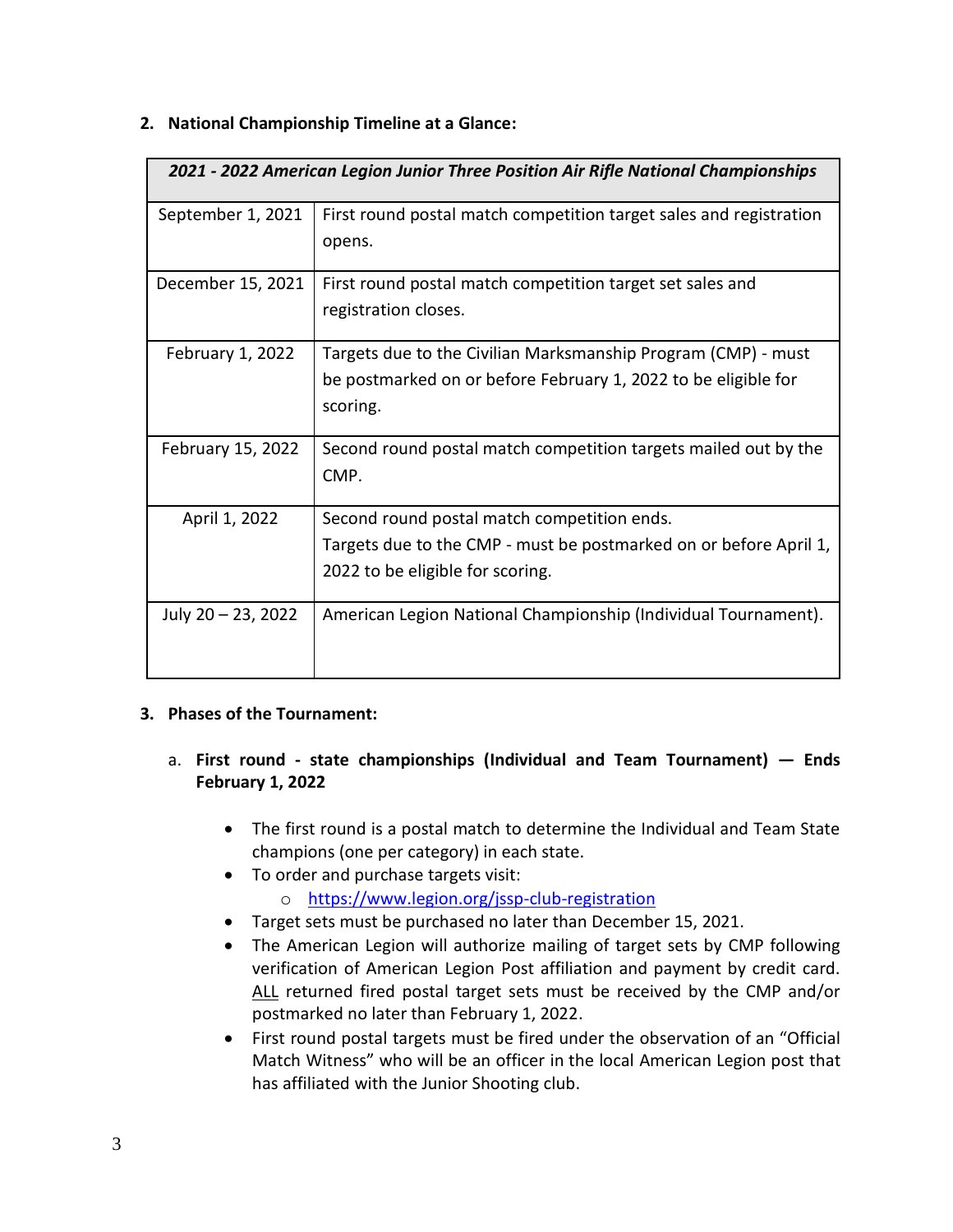#### **2. National Championship Timeline at a Glance:**

| 2021 - 2022 American Legion Junior Three Position Air Rifle National Championships |                                                                                                                                                      |
|------------------------------------------------------------------------------------|------------------------------------------------------------------------------------------------------------------------------------------------------|
| September 1, 2021                                                                  | First round postal match competition target sales and registration<br>opens.                                                                         |
| December 15, 2021                                                                  | First round postal match competition target set sales and<br>registration closes.                                                                    |
| February 1, 2022                                                                   | Targets due to the Civilian Marksmanship Program (CMP) - must<br>be postmarked on or before February 1, 2022 to be eligible for<br>scoring.          |
| February 15, 2022                                                                  | Second round postal match competition targets mailed out by the<br>CMP.                                                                              |
| April 1, 2022                                                                      | Second round postal match competition ends.<br>Targets due to the CMP - must be postmarked on or before April 1,<br>2022 to be eligible for scoring. |
| July 20 – 23, 2022                                                                 | American Legion National Championship (Individual Tournament).                                                                                       |

#### **3. Phases of the Tournament:**

- a. **First round - state championships (Individual and Team Tournament) — Ends February 1, 2022**
	- The first round is a postal match to determine the Individual and Team State champions (one per category) in each state.
	- To order and purchase targets visit:
		- o <https://www.legion.org/jssp-club-registration>
	- Target sets must be purchased no later than December 15, 2021.
	- The American Legion will authorize mailing of target sets by CMP following verification of American Legion Post affiliation and payment by credit card. ALL returned fired postal target sets must be received by the CMP and/or postmarked no later than February 1, 2022.
	- First round postal targets must be fired under the observation of an "Official Match Witness" who will be an officer in the local American Legion post that has affiliated with the Junior Shooting club.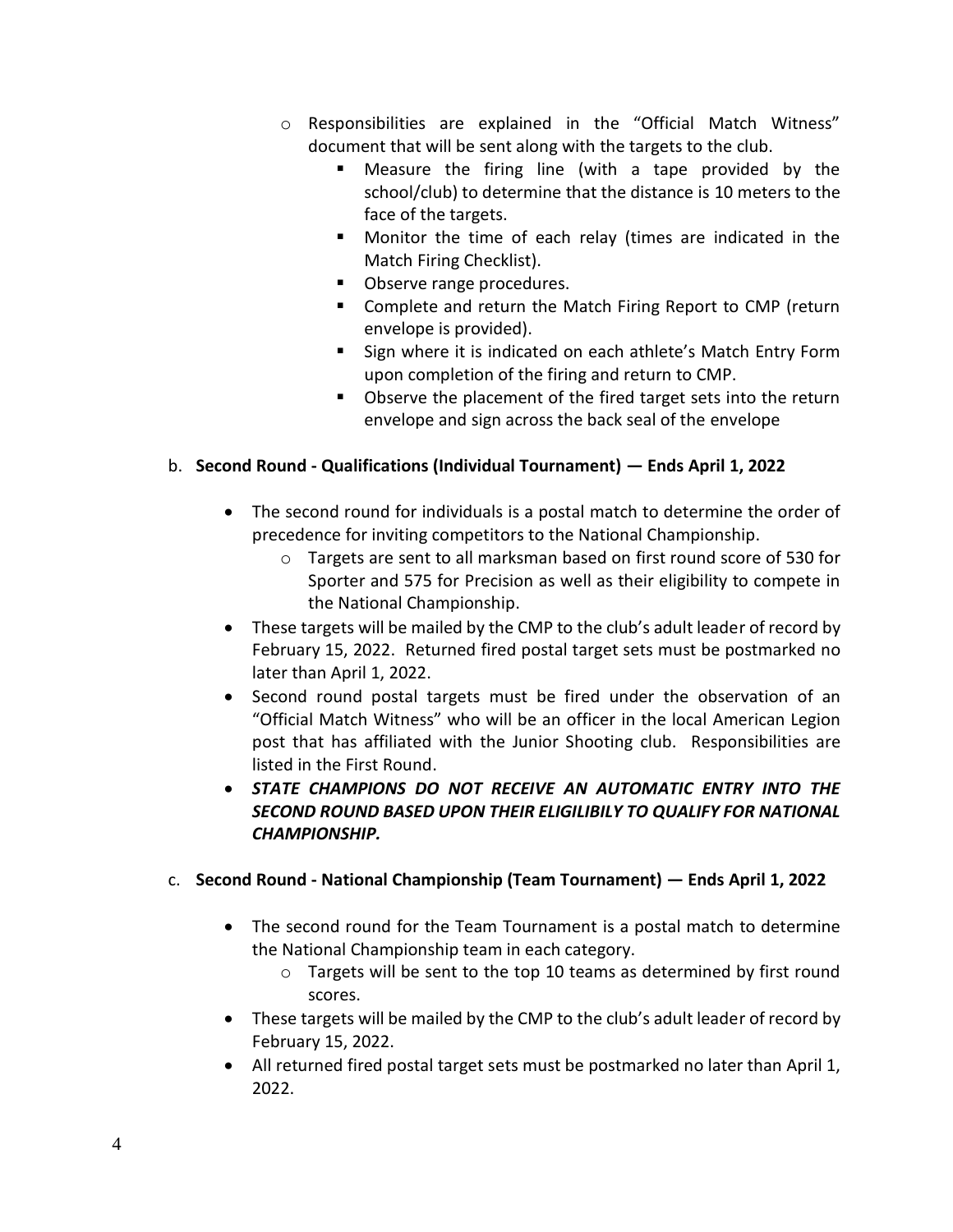- o Responsibilities are explained in the "Official Match Witness" document that will be sent along with the targets to the club.
	- Measure the firing line (with a tape provided by the school/club) to determine that the distance is 10 meters to the face of the targets.
	- Monitor the time of each relay (times are indicated in the Match Firing Checklist).
	- Observe range procedures.
	- **E** Complete and return the Match Firing Report to CMP (return envelope is provided).
	- **Sign where it is indicated on each athlete's Match Entry Form** upon completion of the firing and return to CMP.
	- Observe the placement of the fired target sets into the return envelope and sign across the back seal of the envelope

# b. **Second Round - Qualifications (Individual Tournament) — Ends April 1, 2022**

- The second round for individuals is a postal match to determine the order of precedence for inviting competitors to the National Championship.
	- o Targets are sent to all marksman based on first round score of 530 for Sporter and 575 for Precision as well as their eligibility to compete in the National Championship.
- These targets will be mailed by the CMP to the club's adult leader of record by February 15, 2022. Returned fired postal target sets must be postmarked no later than April 1, 2022.
- Second round postal targets must be fired under the observation of an "Official Match Witness" who will be an officer in the local American Legion post that has affiliated with the Junior Shooting club. Responsibilities are listed in the First Round.
- *STATE CHAMPIONS DO NOT RECEIVE AN AUTOMATIC ENTRY INTO THE SECOND ROUND BASED UPON THEIR ELIGILIBILY TO QUALIFY FOR NATIONAL CHAMPIONSHIP.*

# c. **Second Round - National Championship (Team Tournament) — Ends April 1, 2022**

- The second round for the Team Tournament is a postal match to determine the National Championship team in each category.
	- o Targets will be sent to the top 10 teams as determined by first round scores.
- These targets will be mailed by the CMP to the club's adult leader of record by February 15, 2022.
- All returned fired postal target sets must be postmarked no later than April 1, 2022.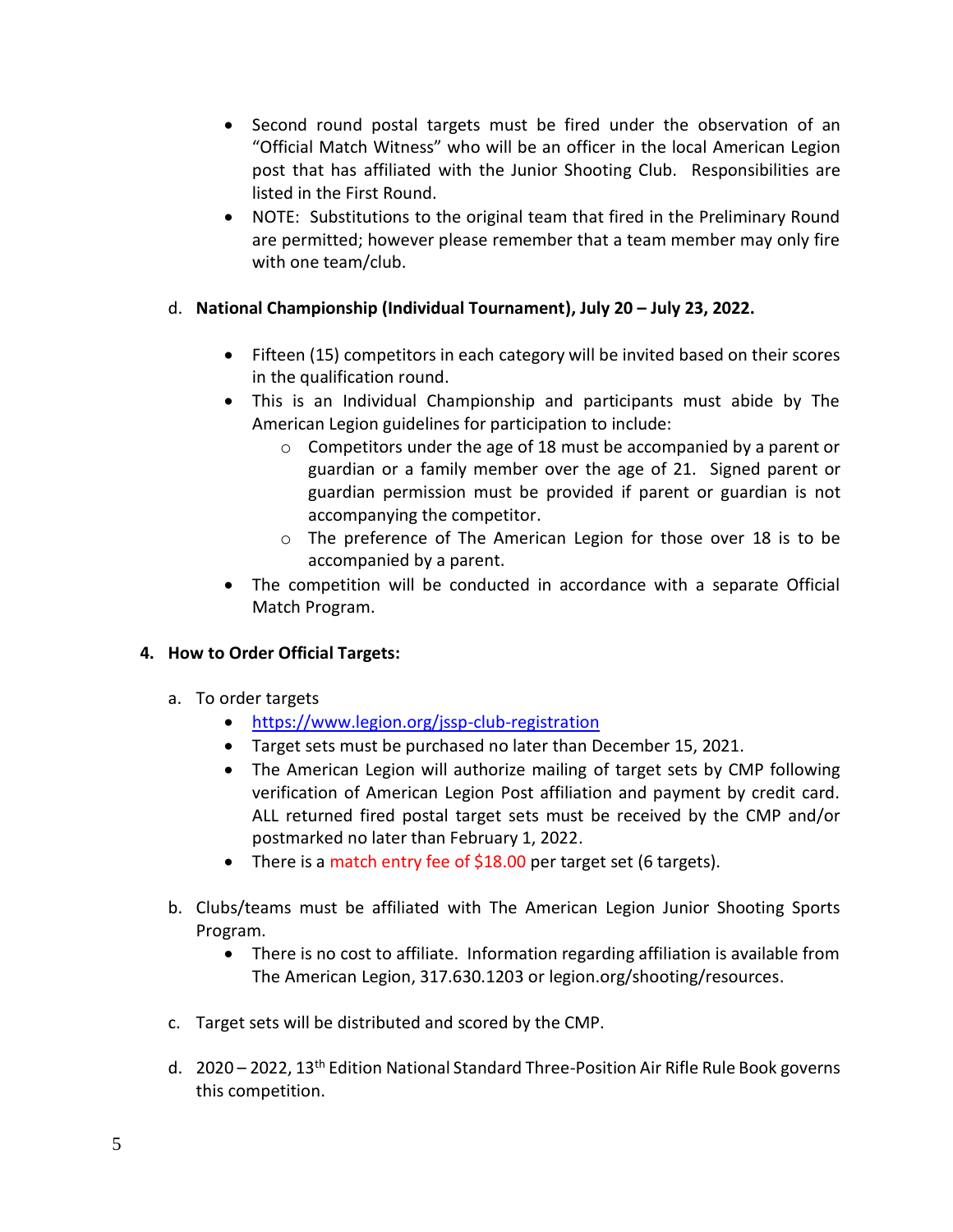- Second round postal targets must be fired under the observation of an "Official Match Witness" who will be an officer in the local American Legion post that has affiliated with the Junior Shooting Club. Responsibilities are listed in the First Round.
- NOTE: Substitutions to the original team that fired in the Preliminary Round are permitted; however please remember that a team member may only fire with one team/club.

# d. **National Championship (Individual Tournament), July 20 – July 23, 2022.**

- Fifteen (15) competitors in each category will be invited based on their scores in the qualification round.
- This is an Individual Championship and participants must abide by The American Legion guidelines for participation to include:
	- o Competitors under the age of 18 must be accompanied by a parent or guardian or a family member over the age of 21. Signed parent or guardian permission must be provided if parent or guardian is not accompanying the competitor.
	- o The preference of The American Legion for those over 18 is to be accompanied by a parent.
- The competition will be conducted in accordance with a separate Official Match Program.

#### **4. How to Order Official Targets:**

- a. To order targets
	- <https://www.legion.org/jssp-club-registration>
	- Target sets must be purchased no later than December 15, 2021.
	- The American Legion will authorize mailing of target sets by CMP following verification of American Legion Post affiliation and payment by credit card. ALL returned fired postal target sets must be received by the CMP and/or postmarked no later than February 1, 2022.
	- There is a match entry fee of \$18.00 per target set (6 targets).
- b. Clubs/teams must be affiliated with The American Legion Junior Shooting Sports Program.
	- There is no cost to affiliate. Information regarding affiliation is available from The American Legion, 317.630.1203 or legion.org/shooting/resources.
- c. Target sets will be distributed and scored by the CMP.
- d.  $2020 2022$ ,  $13<sup>th</sup>$  Edition National Standard Three-Position Air Rifle Rule Book governs this competition.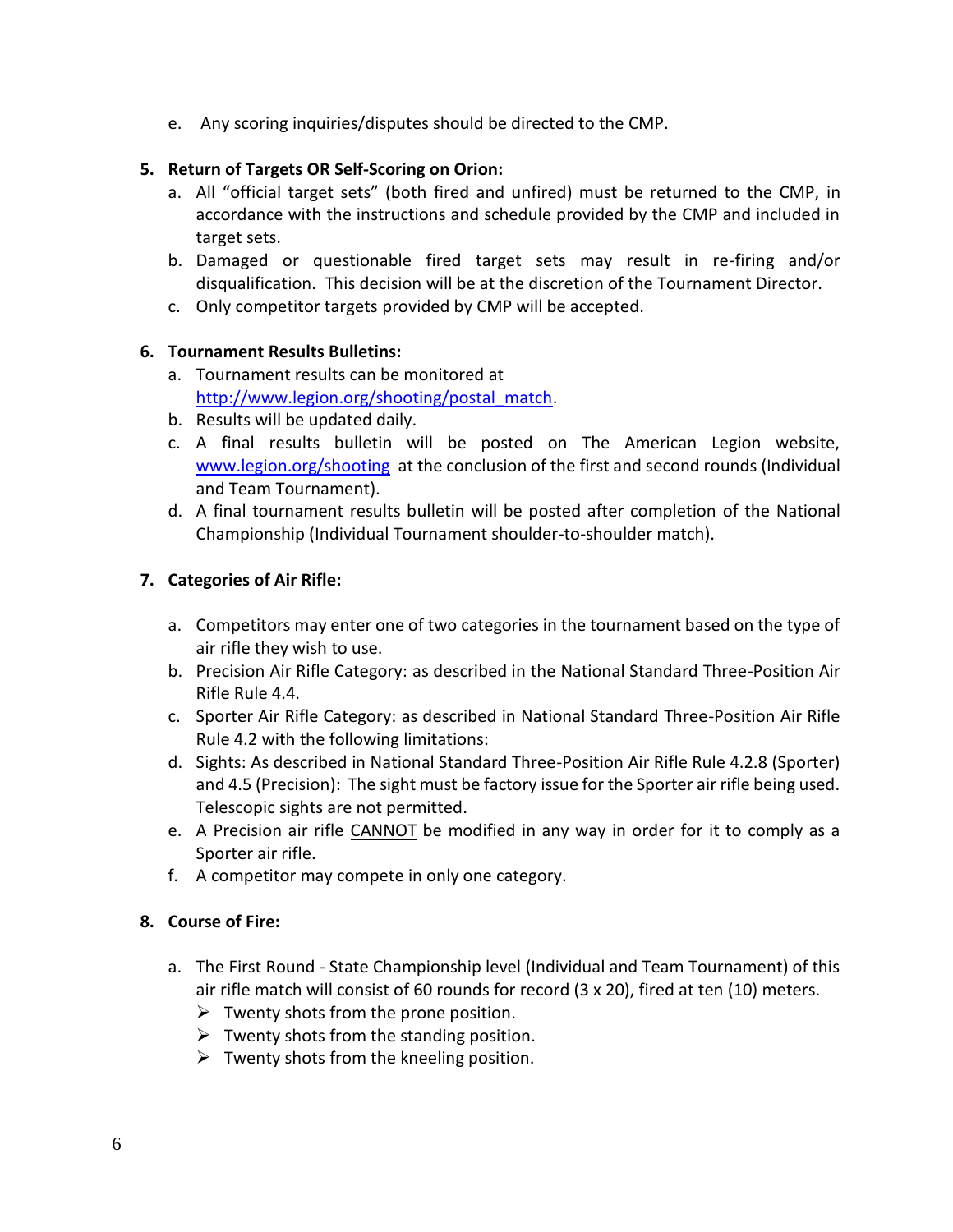e. Any scoring inquiries/disputes should be directed to the CMP.

# **5. Return of Targets OR Self-Scoring on Orion:**

- a. All "official target sets" (both fired and unfired) must be returned to the CMP, in accordance with the instructions and schedule provided by the CMP and included in target sets.
- b. Damaged or questionable fired target sets may result in re-firing and/or disqualification. This decision will be at the discretion of the Tournament Director.
- c. Only competitor targets provided by CMP will be accepted.

# **6. Tournament Results Bulletins:**

- a. Tournament results can be monitored at [http://www.legion.org/shooting/postal\\_match.](http://www.legion.org/shooting/postal_match)
- b. Results will be updated daily.
- c. A final results bulletin will be posted on The American Legion website, [www.legion.org/shooting](http://www.legion.org/shooting) at the conclusion of the first and second rounds (Individual and Team Tournament).
- d. A final tournament results bulletin will be posted after completion of the National Championship (Individual Tournament shoulder-to-shoulder match).

# **7. Categories of Air Rifle:**

- a. Competitors may enter one of two categories in the tournament based on the type of air rifle they wish to use.
- b. Precision Air Rifle Category: as described in the National Standard Three-Position Air Rifle Rule 4.4.
- c. Sporter Air Rifle Category: as described in National Standard Three-Position Air Rifle Rule 4.2 with the following limitations:
- d. Sights: As described in National Standard Three-Position Air Rifle Rule 4.2.8 (Sporter) and 4.5 (Precision): The sight must be factory issue for the Sporter air rifle being used. Telescopic sights are not permitted.
- e. A Precision air rifle CANNOT be modified in any way in order for it to comply as a Sporter air rifle.
- f. A competitor may compete in only one category.

#### **8. Course of Fire:**

- a. The First Round State Championship level (Individual and Team Tournament) of this air rifle match will consist of 60 rounds for record (3 x 20), fired at ten (10) meters.
	- $\triangleright$  Twenty shots from the prone position.
	- $\triangleright$  Twenty shots from the standing position.
	- $\triangleright$  Twenty shots from the kneeling position.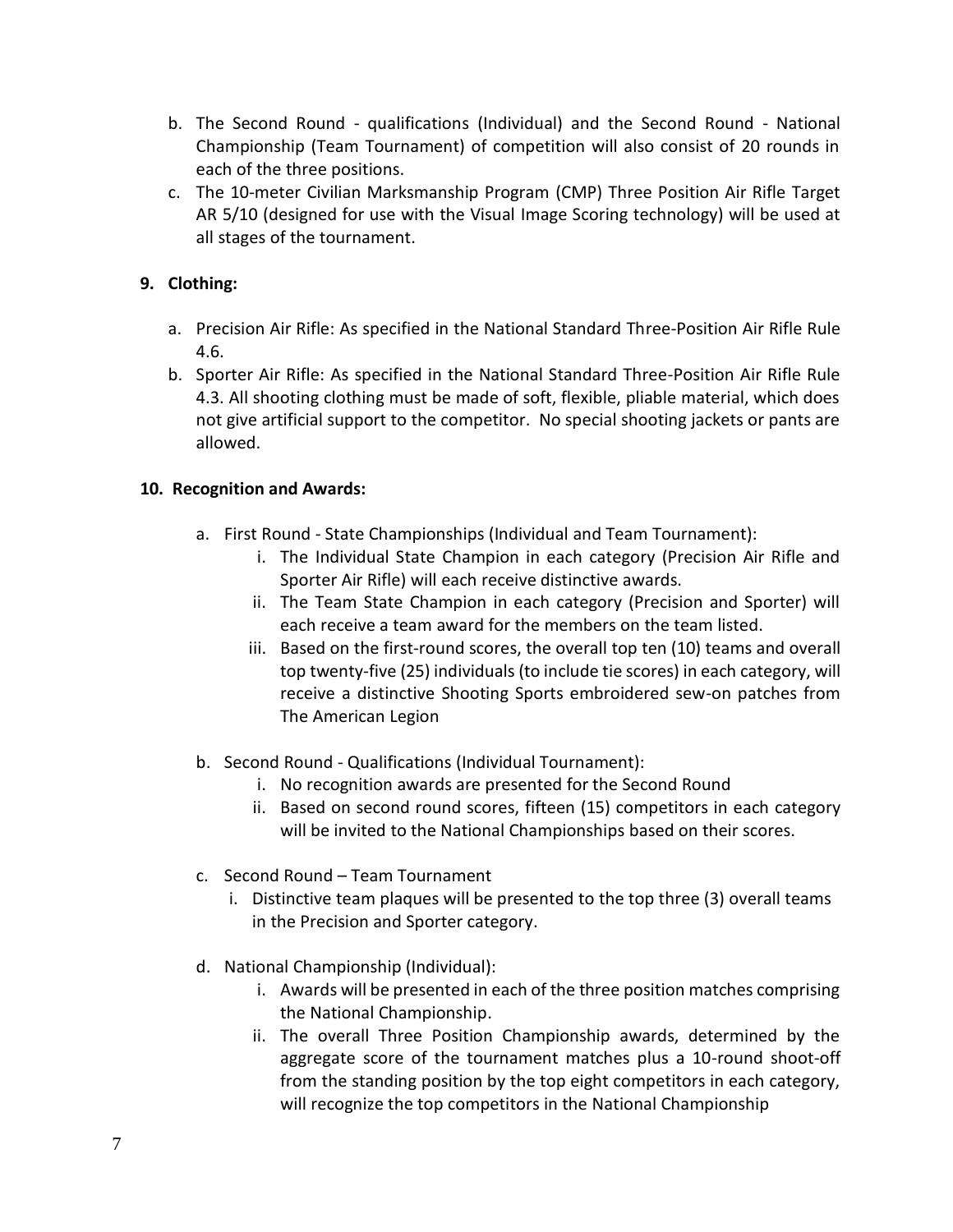- b. The Second Round qualifications (Individual) and the Second Round National Championship (Team Tournament) of competition will also consist of 20 rounds in each of the three positions.
- c. The 10-meter Civilian Marksmanship Program (CMP) Three Position Air Rifle Target AR 5/10 (designed for use with the Visual Image Scoring technology) will be used at all stages of the tournament.

# **9. Clothing:**

- a. Precision Air Rifle: As specified in the National Standard Three-Position Air Rifle Rule 4.6.
- b. Sporter Air Rifle: As specified in the National Standard Three-Position Air Rifle Rule 4.3. All shooting clothing must be made of soft, flexible, pliable material, which does not give artificial support to the competitor. No special shooting jackets or pants are allowed.

# **10. Recognition and Awards:**

- a. First Round State Championships (Individual and Team Tournament):
	- i. The Individual State Champion in each category (Precision Air Rifle and Sporter Air Rifle) will each receive distinctive awards.
	- ii. The Team State Champion in each category (Precision and Sporter) will each receive a team award for the members on the team listed.
	- iii. Based on the first-round scores, the overall top ten (10) teams and overall top twenty-five (25) individuals (to include tie scores) in each category, will receive a distinctive Shooting Sports embroidered sew-on patches from The American Legion
- b. Second Round Qualifications (Individual Tournament):
	- i. No recognition awards are presented for the Second Round
	- ii. Based on second round scores, fifteen (15) competitors in each category will be invited to the National Championships based on their scores.
- c. Second Round Team Tournament
	- i. Distinctive team plaques will be presented to the top three (3) overall teams in the Precision and Sporter category.
- d. National Championship (Individual):
	- i. Awards will be presented in each of the three position matches comprising the National Championship.
	- ii. The overall Three Position Championship awards, determined by the aggregate score of the tournament matches plus a 10-round shoot-off from the standing position by the top eight competitors in each category, will recognize the top competitors in the National Championship